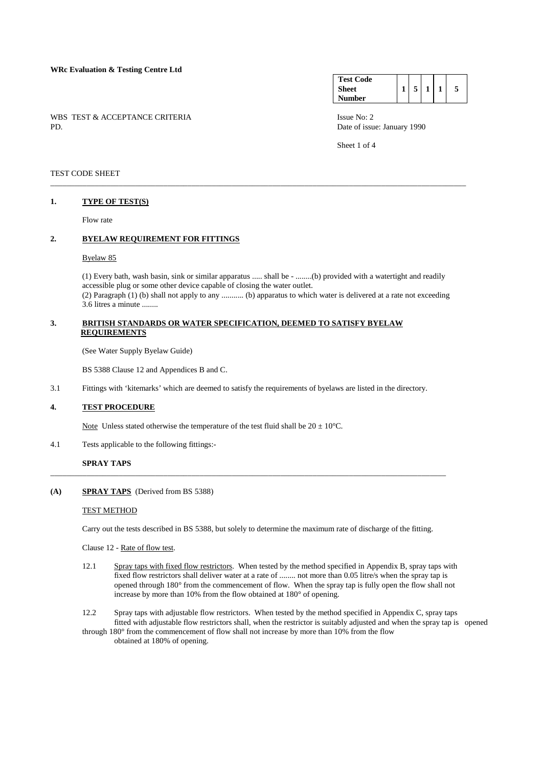### **WRc Evaluation & Testing Centre Ltd**

WBS TEST & ACCEPTANCE CRITERIA ISSUE No: 2<br>PD Date of issue

| <b>Test Code</b> |  |  |   |
|------------------|--|--|---|
| <b>Sheet</b>     |  |  | 5 |
| <b>Number</b>    |  |  |   |

Date of issue: January 1990

Sheet 1 of 4

#### TEST CODE SHEET

### **1. TYPE OF TEST(S)**

Flow rate

## **2. BYELAW REQUIREMENT FOR FITTINGS**

#### Byelaw 85

 (1) Every bath, wash basin, sink or similar apparatus ..... shall be - ........(b) provided with a watertight and readily accessible plug or some other device capable of closing the water outlet.

\_\_\_\_\_\_\_\_\_\_\_\_\_\_\_\_\_\_\_\_\_\_\_\_\_\_\_\_\_\_\_\_\_\_\_\_\_\_\_\_\_\_\_\_\_\_\_\_\_\_\_\_\_\_\_\_\_\_\_\_\_\_\_\_\_\_\_\_\_\_\_\_\_\_\_\_\_\_\_\_\_\_\_\_\_\_\_\_\_\_\_\_\_\_\_\_\_\_\_\_\_\_\_

 (2) Paragraph (1) (b) shall not apply to any ........... (b) apparatus to which water is delivered at a rate not exceeding 3.6 litres a minute ........

## **3. BRITISH STANDARDS OR WATER SPECIFICATION, DEEMED TO SATISFY BYELAW REQUIREMENTS**

(See Water Supply Byelaw Guide)

BS 5388 Clause 12 and Appendices B and C.

3.1 Fittings with 'kitemarks' which are deemed to satisfy the requirements of byelaws are listed in the directory.

## **4. TEST PROCEDURE**

Note Unless stated otherwise the temperature of the test fluid shall be  $20 \pm 10^{\circ}$ C.

4.1 Tests applicable to the following fittings:-

## **SPRAY TAPS**

## **(A) SPRAY TAPS** (Derived from BS 5388)

#### TEST METHOD

Carry out the tests described in BS 5388, but solely to determine the maximum rate of discharge of the fitting.

\_\_\_\_\_\_\_\_\_\_\_\_\_\_\_\_\_\_\_\_\_\_\_\_\_\_\_\_\_\_\_\_\_\_\_\_\_\_\_\_\_\_\_\_\_\_\_\_\_\_\_\_\_\_\_\_\_\_\_\_\_\_\_\_\_\_\_\_\_\_\_\_\_\_\_\_\_\_\_\_\_\_\_\_\_\_\_\_\_\_\_\_\_\_\_\_\_\_

Clause 12 - Rate of flow test.

- 12.1 Spray taps with fixed flow restrictors. When tested by the method specified in Appendix B, spray taps with fixed flow restrictors shall deliver water at a rate of ........ not more than 0.05 litre/s when the spray tap is opened through 180° from the commencement of flow. When the spray tap is fully open the flow shall not increase by more than 10% from the flow obtained at 180° of opening.
- 12.2 Spray taps with adjustable flow restrictors. When tested by the method specified in Appendix C, spray taps fitted with adjustable flow restrictors shall, when the restrictor is suitably adjusted and when the spray tap is opened
- through 180° from the commencement of flow shall not increase by more than 10% from the flow obtained at 180% of opening.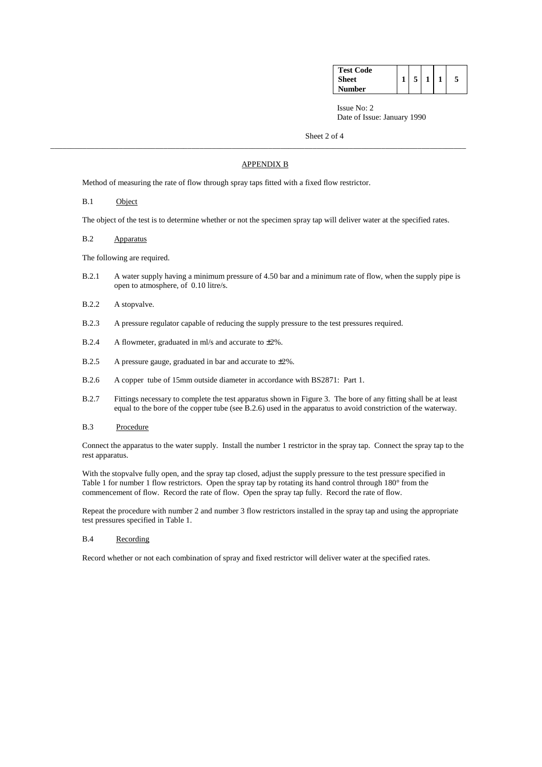| <b>Test Code</b> |  |  |  |
|------------------|--|--|--|
| <b>Sheet</b>     |  |  |  |
| Number           |  |  |  |

Issue No: 2 Date of Issue: January 1990

Sheet 2 of 4

## APPENDIX B

\_\_\_\_\_\_\_\_\_\_\_\_\_\_\_\_\_\_\_\_\_\_\_\_\_\_\_\_\_\_\_\_\_\_\_\_\_\_\_\_\_\_\_\_\_\_\_\_\_\_\_\_\_\_\_\_\_\_\_\_\_\_\_\_\_\_\_\_\_\_\_\_\_\_\_\_\_\_\_\_\_\_\_\_\_\_\_\_\_\_\_\_\_\_\_\_\_\_\_\_\_\_\_

Method of measuring the rate of flow through spray taps fitted with a fixed flow restrictor.

### B.1 Object

The object of the test is to determine whether or not the specimen spray tap will deliver water at the specified rates.

B.2 Apparatus

The following are required.

- B.2.1 A water supply having a minimum pressure of 4.50 bar and a minimum rate of flow, when the supply pipe is open to atmosphere, of 0.10 litre/s.
- B.2.2 A stopvalve.
- B.2.3 A pressure regulator capable of reducing the supply pressure to the test pressures required.
- B.2.4 A flowmeter, graduated in ml/s and accurate to ±2%.
- B.2.5 A pressure gauge, graduated in bar and accurate to  $\pm 2\%$ .
- B.2.6 A copper tube of 15mm outside diameter in accordance with BS2871: Part 1.
- B.2.7 Fittings necessary to complete the test apparatus shown in Figure 3. The bore of any fitting shall be at least equal to the bore of the copper tube (see B.2.6) used in the apparatus to avoid constriction of the waterway.
- B.3 Procedure

 Connect the apparatus to the water supply. Install the number 1 restrictor in the spray tap. Connect the spray tap to the rest apparatus.

With the stopvalve fully open, and the spray tap closed, adjust the supply pressure to the test pressure specified in Table 1 for number 1 flow restrictors. Open the spray tap by rotating its hand control through 180° from the commencement of flow. Record the rate of flow. Open the spray tap fully. Record the rate of flow.

 Repeat the procedure with number 2 and number 3 flow restrictors installed in the spray tap and using the appropriate test pressures specified in Table 1.

#### B.4 Recording

Record whether or not each combination of spray and fixed restrictor will deliver water at the specified rates.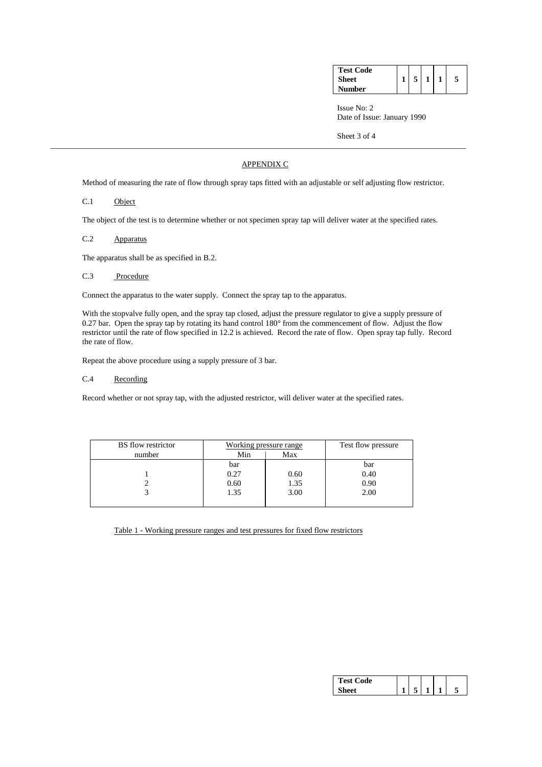| <b>Test Code</b> |  |  |  |
|------------------|--|--|--|
| <b>Sheet</b>     |  |  |  |
| Number           |  |  |  |

 Issue No: 2 Date of Issue: January 1990

Sheet 3 of 4

## APPENDIX C

\_\_\_\_\_\_\_\_\_\_\_\_\_\_\_\_\_\_\_\_\_\_\_\_\_\_\_\_\_\_\_\_\_\_\_\_\_\_\_\_\_\_\_\_\_\_\_\_\_\_\_\_\_\_\_\_\_\_\_\_\_\_\_\_\_\_\_\_\_\_\_\_\_\_\_\_\_\_\_\_\_\_\_\_\_\_\_\_\_\_\_\_\_\_\_\_\_\_\_\_\_\_\_

Method of measuring the rate of flow through spray taps fitted with an adjustable or self adjusting flow restrictor.

## C.1 Object

The object of the test is to determine whether or not specimen spray tap will deliver water at the specified rates.

C.2 Apparatus

The apparatus shall be as specified in B.2.

C.3 Procedure

Connect the apparatus to the water supply. Connect the spray tap to the apparatus.

 With the stopvalve fully open, and the spray tap closed, adjust the pressure regulator to give a supply pressure of 0.27 bar. Open the spray tap by rotating its hand control 180° from the commencement of flow. Adjust the flow restrictor until the rate of flow specified in 12.2 is achieved. Record the rate of flow. Open spray tap fully. Record the rate of flow.

Repeat the above procedure using a supply pressure of 3 bar.

C.4 Recording

Record whether or not spray tap, with the adjusted restrictor, will deliver water at the specified rates.

| <b>BS</b> flow restrictor | Working pressure range |      | Test flow pressure |
|---------------------------|------------------------|------|--------------------|
| number                    | Min                    | Max  |                    |
|                           | bar                    |      | bar                |
|                           | 0.27                   | 0.60 | 0.40               |
|                           | 0.60                   | 1.35 | 0.90               |
|                           | 1.35                   | 3.00 | 2.00               |
|                           |                        |      |                    |

Table 1 - Working pressure ranges and test pressures for fixed flow restrictors

| <b>Fest Code</b> |  |  |  |
|------------------|--|--|--|
|                  |  |  |  |